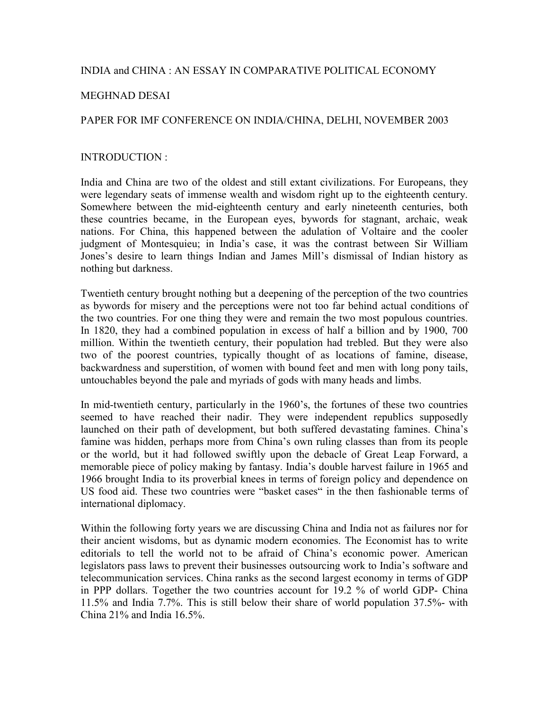# INDIA and CHINA : AN ESSAY IN COMPARATIVE POLITICAL ECONOMY

# MEGHNAD DESAI

# PAPER FOR IMF CONFERENCE ON INDIA/CHINA, DELHI, NOVEMBER 2003

### INTRODUCTION :

India and China are two of the oldest and still extant civilizations. For Europeans, they were legendary seats of immense wealth and wisdom right up to the eighteenth century. Somewhere between the mid-eighteenth century and early nineteenth centuries, both these countries became, in the European eyes, bywords for stagnant, archaic, weak nations. For China, this happened between the adulation of Voltaire and the cooler judgment of Montesquieu; in India's case, it was the contrast between Sir William Jones's desire to learn things Indian and James Mill's dismissal of Indian history as nothing but darkness.

Twentieth century brought nothing but a deepening of the perception of the two countries as bywords for misery and the perceptions were not too far behind actual conditions of the two countries. For one thing they were and remain the two most populous countries. In 1820, they had a combined population in excess of half a billion and by 1900, 700 million. Within the twentieth century, their population had trebled. But they were also two of the poorest countries, typically thought of as locations of famine, disease, backwardness and superstition, of women with bound feet and men with long pony tails, untouchables beyond the pale and myriads of gods with many heads and limbs.

In mid-twentieth century, particularly in the 1960's, the fortunes of these two countries seemed to have reached their nadir. They were independent republics supposedly launched on their path of development, but both suffered devastating famines. China's famine was hidden, perhaps more from China's own ruling classes than from its people or the world, but it had followed swiftly upon the debacle of Great Leap Forward, a memorable piece of policy making by fantasy. India's double harvest failure in 1965 and 1966 brought India to its proverbial knees in terms of foreign policy and dependence on US food aid. These two countries were "basket cases" in the then fashionable terms of international diplomacy.

Within the following forty years we are discussing China and India not as failures nor for their ancient wisdoms, but as dynamic modern economies. The Economist has to write editorials to tell the world not to be afraid of China's economic power. American legislators pass laws to prevent their businesses outsourcing work to India's software and telecommunication services. China ranks as the second largest economy in terms of GDP in PPP dollars. Together the two countries account for 19.2 % of world GDP- China 11.5% and India 7.7%. This is still below their share of world population 37.5%- with China 21% and India 16.5%.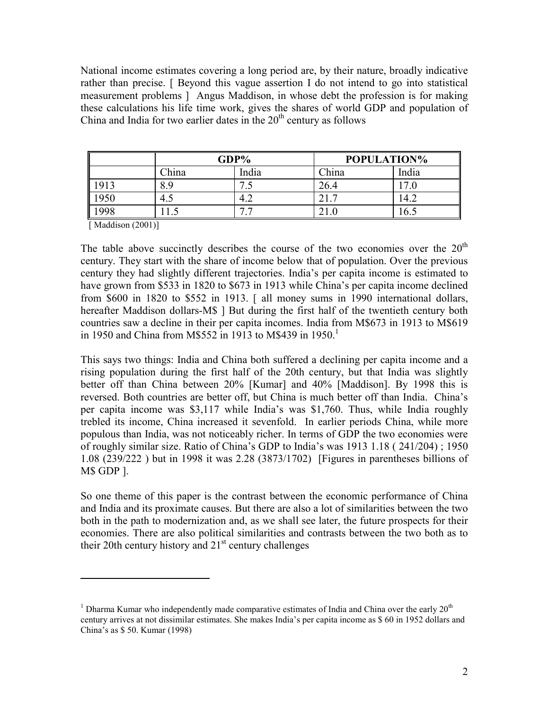National income estimates covering a long period are, by their nature, broadly indicative rather than precise. [ Beyond this vague assertion I do not intend to go into statistical measurement problems ] Angus Maddison, in whose debt the profession is for making these calculations his life time work, gives the shares of world GDP and population of China and India for two earlier dates in the  $20<sup>th</sup>$  century as follows

|      | $GDP\%$ |               | POPULATION%              |       |  |
|------|---------|---------------|--------------------------|-------|--|
|      | China   | India         | China                    | India |  |
| 1913 | 8.9     | ت .           | 26.4                     | 7.0   |  |
| 1950 | 4.5     | 4             | $\overline{\phantom{0}}$ | 14.2  |  |
| 1998 |         | −<br>-<br>. . |                          | 16.5  |  |

[ Maddison (2001)]

 $\overline{a}$ 

The table above succinctly describes the course of the two economies over the  $20<sup>th</sup>$ century. They start with the share of income below that of population. Over the previous century they had slightly different trajectories. India's per capita income is estimated to have grown from \$533 in 1820 to \$673 in 1913 while China's per capita income declined from \$600 in 1820 to \$552 in 1913. [ all money sums in 1990 international dollars, hereafter Maddison dollars-M\$ ] But during the first half of the twentieth century both countries saw a decline in their per capita incomes. India from M\$673 in 1913 to M\$619 in 1950 and China from M\$552 in 1913 to M\$439 in 1950.<sup>1</sup>

This says two things: India and China both suffered a declining per capita income and a rising population during the first half of the 20th century, but that India was slightly better off than China between 20% [Kumar] and 40% [Maddison]. By 1998 this is reversed. Both countries are better off, but China is much better off than India. China's per capita income was \$3,117 while India's was \$1,760. Thus, while India roughly trebled its income, China increased it sevenfold. In earlier periods China, while more populous than India, was not noticeably richer. In terms of GDP the two economies were of roughly similar size. Ratio of China's GDP to India's was 1913 1.18 ( 241/204) ; 1950 1.08 (239/222 ) but in 1998 it was 2.28 (3873/1702) [Figures in parentheses billions of M\$ GDP ].

So one theme of this paper is the contrast between the economic performance of China and India and its proximate causes. But there are also a lot of similarities between the two both in the path to modernization and, as we shall see later, the future prospects for their economies. There are also political similarities and contrasts between the two both as to their 20th century history and  $21<sup>st</sup>$  century challenges

<sup>&</sup>lt;sup>1</sup> Dharma Kumar who independently made comparative estimates of India and China over the early  $20<sup>th</sup>$ century arrives at not dissimilar estimates. She makes India's per capita income as \$ 60 in 1952 dollars and China's as \$ 50. Kumar (1998)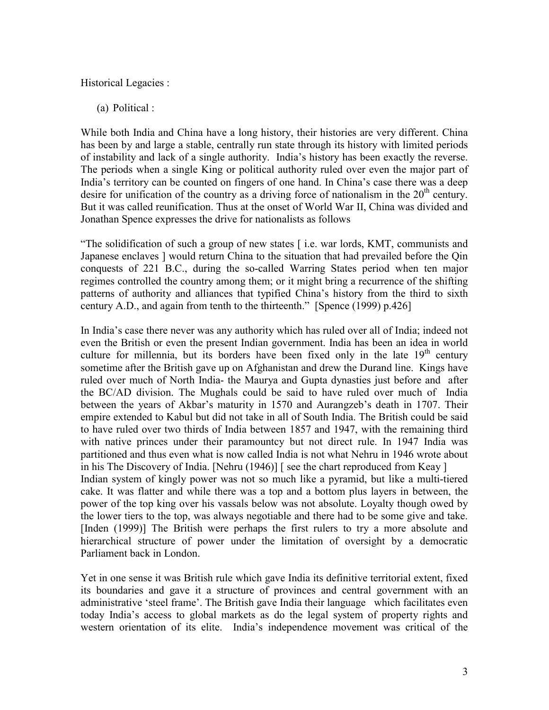Historical Legacies :

(a) Political :

While both India and China have a long history, their histories are very different. China has been by and large a stable, centrally run state through its history with limited periods of instability and lack of a single authority. India's history has been exactly the reverse. The periods when a single King or political authority ruled over even the major part of India's territory can be counted on fingers of one hand. In China's case there was a deep desire for unification of the country as a driving force of nationalism in the  $20<sup>th</sup>$  century. But it was called reunification. Thus at the onset of World War II, China was divided and Jonathan Spence expresses the drive for nationalists as follows

"The solidification of such a group of new states [ i.e. war lords, KMT, communists and Japanese enclaves ] would return China to the situation that had prevailed before the Qin conquests of 221 B.C., during the so-called Warring States period when ten major regimes controlled the country among them; or it might bring a recurrence of the shifting patterns of authority and alliances that typified China's history from the third to sixth century A.D., and again from tenth to the thirteenth." [Spence (1999) p.426]

In India's case there never was any authority which has ruled over all of India; indeed not even the British or even the present Indian government. India has been an idea in world culture for millennia, but its borders have been fixed only in the late  $19<sup>th</sup>$  century sometime after the British gave up on Afghanistan and drew the Durand line. Kings have ruled over much of North India- the Maurya and Gupta dynasties just before and after the BC/AD division. The Mughals could be said to have ruled over much of India between the years of Akbar's maturity in 1570 and Aurangzeb's death in 1707. Their empire extended to Kabul but did not take in all of South India. The British could be said to have ruled over two thirds of India between 1857 and 1947, with the remaining third with native princes under their paramountcy but not direct rule. In 1947 India was partitioned and thus even what is now called India is not what Nehru in 1946 wrote about in his The Discovery of India. [Nehru (1946)] [ see the chart reproduced from Keay ] Indian system of kingly power was not so much like a pyramid, but like a multi-tiered cake. It was flatter and while there was a top and a bottom plus layers in between, the power of the top king over his vassals below was not absolute. Loyalty though owed by the lower tiers to the top, was always negotiable and there had to be some give and take. [Inden (1999)] The British were perhaps the first rulers to try a more absolute and hierarchical structure of power under the limitation of oversight by a democratic Parliament back in London.

Yet in one sense it was British rule which gave India its definitive territorial extent, fixed its boundaries and gave it a structure of provinces and central government with an administrative 'steel frame'. The British gave India their language which facilitates even today India's access to global markets as do the legal system of property rights and western orientation of its elite. India's independence movement was critical of the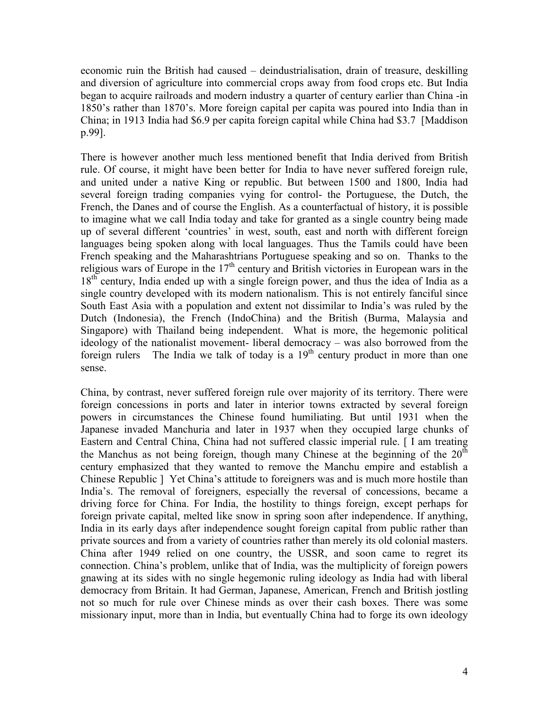economic ruin the British had caused – deindustrialisation, drain of treasure, deskilling and diversion of agriculture into commercial crops away from food crops etc. But India began to acquire railroads and modern industry a quarter of century earlier than China -in 1850's rather than 1870's. More foreign capital per capita was poured into India than in China; in 1913 India had \$6.9 per capita foreign capital while China had \$3.7 [Maddison p.99].

There is however another much less mentioned benefit that India derived from British rule. Of course, it might have been better for India to have never suffered foreign rule, and united under a native King or republic. But between 1500 and 1800, India had several foreign trading companies vying for control- the Portuguese, the Dutch, the French, the Danes and of course the English. As a counterfactual of history, it is possible to imagine what we call India today and take for granted as a single country being made up of several different 'countries' in west, south, east and north with different foreign languages being spoken along with local languages. Thus the Tamils could have been French speaking and the Maharashtrians Portuguese speaking and so on. Thanks to the religious wars of Europe in the 17<sup>th</sup> century and British victories in European wars in the 18<sup>th</sup> century, India ended up with a single foreign power, and thus the idea of India as a single country developed with its modern nationalism. This is not entirely fanciful since South East Asia with a population and extent not dissimilar to India's was ruled by the Dutch (Indonesia), the French (IndoChina) and the British (Burma, Malaysia and Singapore) with Thailand being independent. What is more, the hegemonic political ideology of the nationalist movement- liberal democracy – was also borrowed from the foreign rulers The India we talk of today is a  $19<sup>th</sup>$  century product in more than one sense.

China, by contrast, never suffered foreign rule over majority of its territory. There were foreign concessions in ports and later in interior towns extracted by several foreign powers in circumstances the Chinese found humiliating. But until 1931 when the Japanese invaded Manchuria and later in 1937 when they occupied large chunks of Eastern and Central China, China had not suffered classic imperial rule. [ I am treating the Manchus as not being foreign, though many Chinese at the beginning of the  $20<sup>th</sup>$ century emphasized that they wanted to remove the Manchu empire and establish a Chinese Republic ] Yet China's attitude to foreigners was and is much more hostile than India's. The removal of foreigners, especially the reversal of concessions, became a driving force for China. For India, the hostility to things foreign, except perhaps for foreign private capital, melted like snow in spring soon after independence. If anything, India in its early days after independence sought foreign capital from public rather than private sources and from a variety of countries rather than merely its old colonial masters. China after 1949 relied on one country, the USSR, and soon came to regret its connection. China's problem, unlike that of India, was the multiplicity of foreign powers gnawing at its sides with no single hegemonic ruling ideology as India had with liberal democracy from Britain. It had German, Japanese, American, French and British jostling not so much for rule over Chinese minds as over their cash boxes. There was some missionary input, more than in India, but eventually China had to forge its own ideology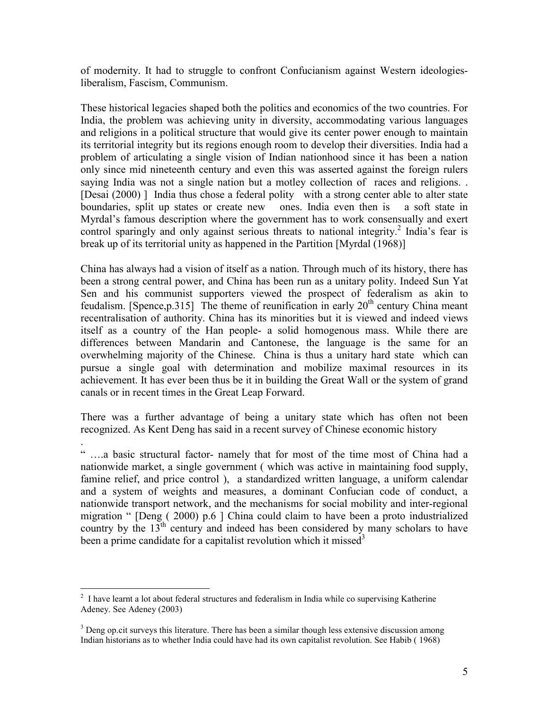of modernity. It had to struggle to confront Confucianism against Western ideologiesliberalism, Fascism, Communism.

These historical legacies shaped both the politics and economics of the two countries. For India, the problem was achieving unity in diversity, accommodating various languages and religions in a political structure that would give its center power enough to maintain its territorial integrity but its regions enough room to develop their diversities. India had a problem of articulating a single vision of Indian nationhood since it has been a nation only since mid nineteenth century and even this was asserted against the foreign rulers saying India was not a single nation but a motley collection of races and religions. . [Desai (2000) ] India thus chose a federal polity with a strong center able to alter state boundaries, split up states or create new ones. India even then is a soft state in Myrdal's famous description where the government has to work consensually and exert control sparingly and only against serious threats to national integrity.<sup>2</sup> India's fear is break up of its territorial unity as happened in the Partition [Myrdal (1968)]

China has always had a vision of itself as a nation. Through much of its history, there has been a strong central power, and China has been run as a unitary polity. Indeed Sun Yat Sen and his communist supporters viewed the prospect of federalism as akin to feudalism. [Spence, p.315] The theme of reunification in early  $20<sup>th</sup>$  century China meant recentralisation of authority. China has its minorities but it is viewed and indeed views itself as a country of the Han people- a solid homogenous mass. While there are differences between Mandarin and Cantonese, the language is the same for an overwhelming majority of the Chinese. China is thus a unitary hard state which can pursue a single goal with determination and mobilize maximal resources in its achievement. It has ever been thus be it in building the Great Wall or the system of grand canals or in recent times in the Great Leap Forward.

There was a further advantage of being a unitary state which has often not been recognized. As Kent Deng has said in a recent survey of Chinese economic history

.

" ….a basic structural factor- namely that for most of the time most of China had a nationwide market, a single government ( which was active in maintaining food supply, famine relief, and price control ), a standardized written language, a uniform calendar and a system of weights and measures, a dominant Confucian code of conduct, a nationwide transport network, and the mechanisms for social mobility and inter-regional migration " [Deng ( 2000) p.6 ] China could claim to have been a proto industrialized country by the  $13<sup>th</sup>$  century and indeed has been considered by many scholars to have been a prime candidate for a capitalist revolution which it missed<sup>3</sup>

 $\overline{a}$  $2\,$  I have learnt a lot about federal structures and federalism in India while co supervising Katherine Adeney. See Adeney (2003)

 $3$  Deng op.cit surveys this literature. There has been a similar though less extensive discussion among Indian historians as to whether India could have had its own capitalist revolution. See Habib ( 1968)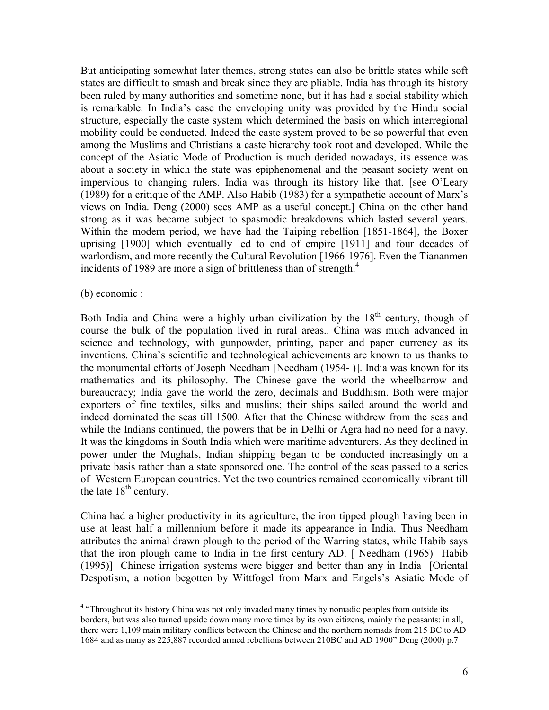But anticipating somewhat later themes, strong states can also be brittle states while soft states are difficult to smash and break since they are pliable. India has through its history been ruled by many authorities and sometime none, but it has had a social stability which is remarkable. In India's case the enveloping unity was provided by the Hindu social structure, especially the caste system which determined the basis on which interregional mobility could be conducted. Indeed the caste system proved to be so powerful that even among the Muslims and Christians a caste hierarchy took root and developed. While the concept of the Asiatic Mode of Production is much derided nowadays, its essence was about a society in which the state was epiphenomenal and the peasant society went on impervious to changing rulers. India was through its history like that. [see O'Leary (1989) for a critique of the AMP. Also Habib (1983) for a sympathetic account of Marx's views on India. Deng (2000) sees AMP as a useful concept.] China on the other hand strong as it was became subject to spasmodic breakdowns which lasted several years. Within the modern period, we have had the Taiping rebellion [1851-1864], the Boxer uprising [1900] which eventually led to end of empire [1911] and four decades of warlordism, and more recently the Cultural Revolution [1966-1976]. Even the Tiananmen incidents of 1989 are more a sign of brittleness than of strength. $4$ 

### (b) economic :

1

Both India and China were a highly urban civilization by the  $18<sup>th</sup>$  century, though of course the bulk of the population lived in rural areas.. China was much advanced in science and technology, with gunpowder, printing, paper and paper currency as its inventions. China's scientific and technological achievements are known to us thanks to the monumental efforts of Joseph Needham [Needham (1954- )]. India was known for its mathematics and its philosophy. The Chinese gave the world the wheelbarrow and bureaucracy; India gave the world the zero, decimals and Buddhism. Both were major exporters of fine textiles, silks and muslins; their ships sailed around the world and indeed dominated the seas till 1500. After that the Chinese withdrew from the seas and while the Indians continued, the powers that be in Delhi or Agra had no need for a navy. It was the kingdoms in South India which were maritime adventurers. As they declined in power under the Mughals, Indian shipping began to be conducted increasingly on a private basis rather than a state sponsored one. The control of the seas passed to a series of Western European countries. Yet the two countries remained economically vibrant till the late  $18<sup>th</sup>$  century.

China had a higher productivity in its agriculture, the iron tipped plough having been in use at least half a millennium before it made its appearance in India. Thus Needham attributes the animal drawn plough to the period of the Warring states, while Habib says that the iron plough came to India in the first century AD. [ Needham (1965) Habib (1995)] Chinese irrigation systems were bigger and better than any in India [Oriental Despotism, a notion begotten by Wittfogel from Marx and Engels's Asiatic Mode of

<sup>&</sup>lt;sup>4</sup> "Throughout its history China was not only invaded many times by nomadic peoples from outside its borders, but was also turned upside down many more times by its own citizens, mainly the peasants: in all, there were 1,109 main military conflicts between the Chinese and the northern nomads from 215 BC to AD 1684 and as many as 225,887 recorded armed rebellions between 210BC and AD 1900" Deng (2000) p.7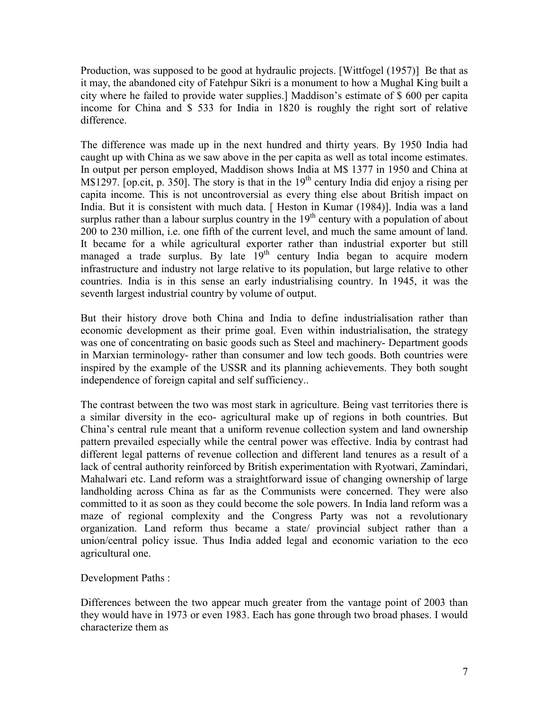Production, was supposed to be good at hydraulic projects. [Wittfogel (1957)] Be that as it may, the abandoned city of Fatehpur Sikri is a monument to how a Mughal King built a city where he failed to provide water supplies.] Maddison's estimate of \$ 600 per capita income for China and \$ 533 for India in 1820 is roughly the right sort of relative difference.

The difference was made up in the next hundred and thirty years. By 1950 India had caught up with China as we saw above in the per capita as well as total income estimates. In output per person employed, Maddison shows India at M\$ 1377 in 1950 and China at M\$1297. [op.cit, p. 350]. The story is that in the  $19<sup>th</sup>$  century India did enjoy a rising per capita income. This is not uncontroversial as every thing else about British impact on India. But it is consistent with much data. [ Heston in Kumar (1984)]. India was a land surplus rather than a labour surplus country in the  $19<sup>th</sup>$  century with a population of about 200 to 230 million, i.e. one fifth of the current level, and much the same amount of land. It became for a while agricultural exporter rather than industrial exporter but still managed a trade surplus. By late  $19<sup>th</sup>$  century India began to acquire modern infrastructure and industry not large relative to its population, but large relative to other countries. India is in this sense an early industrialising country. In 1945, it was the seventh largest industrial country by volume of output.

But their history drove both China and India to define industrialisation rather than economic development as their prime goal. Even within industrialisation, the strategy was one of concentrating on basic goods such as Steel and machinery- Department goods in Marxian terminology- rather than consumer and low tech goods. Both countries were inspired by the example of the USSR and its planning achievements. They both sought independence of foreign capital and self sufficiency..

The contrast between the two was most stark in agriculture. Being vast territories there is a similar diversity in the eco- agricultural make up of regions in both countries. But China's central rule meant that a uniform revenue collection system and land ownership pattern prevailed especially while the central power was effective. India by contrast had different legal patterns of revenue collection and different land tenures as a result of a lack of central authority reinforced by British experimentation with Ryotwari, Zamindari, Mahalwari etc. Land reform was a straightforward issue of changing ownership of large landholding across China as far as the Communists were concerned. They were also committed to it as soon as they could become the sole powers. In India land reform was a maze of regional complexity and the Congress Party was not a revolutionary organization. Land reform thus became a state/ provincial subject rather than a union/central policy issue. Thus India added legal and economic variation to the eco agricultural one.

Development Paths :

Differences between the two appear much greater from the vantage point of 2003 than they would have in 1973 or even 1983. Each has gone through two broad phases. I would characterize them as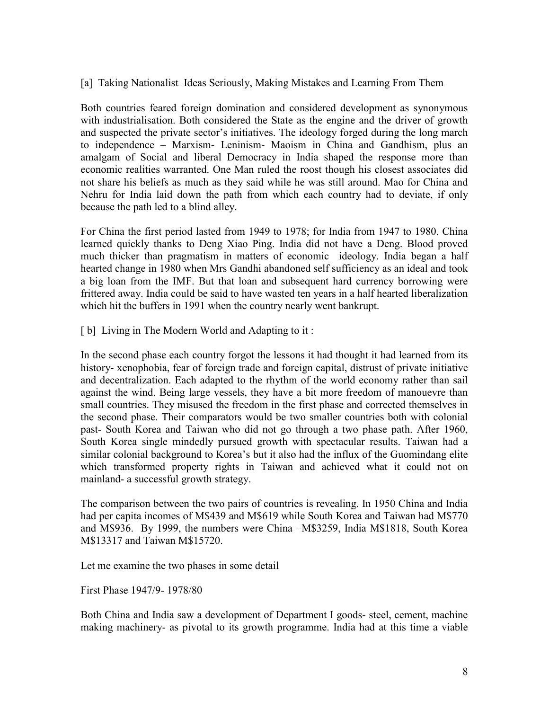### [a] Taking Nationalist Ideas Seriously, Making Mistakes and Learning From Them

Both countries feared foreign domination and considered development as synonymous with industrialisation. Both considered the State as the engine and the driver of growth and suspected the private sector's initiatives. The ideology forged during the long march to independence – Marxism- Leninism- Maoism in China and Gandhism, plus an amalgam of Social and liberal Democracy in India shaped the response more than economic realities warranted. One Man ruled the roost though his closest associates did not share his beliefs as much as they said while he was still around. Mao for China and Nehru for India laid down the path from which each country had to deviate, if only because the path led to a blind alley.

For China the first period lasted from 1949 to 1978; for India from 1947 to 1980. China learned quickly thanks to Deng Xiao Ping. India did not have a Deng. Blood proved much thicker than pragmatism in matters of economic ideology. India began a half hearted change in 1980 when Mrs Gandhi abandoned self sufficiency as an ideal and took a big loan from the IMF. But that loan and subsequent hard currency borrowing were frittered away. India could be said to have wasted ten years in a half hearted liberalization which hit the buffers in 1991 when the country nearly went bankrupt.

[b] Living in The Modern World and Adapting to it:

In the second phase each country forgot the lessons it had thought it had learned from its history- xenophobia, fear of foreign trade and foreign capital, distrust of private initiative and decentralization. Each adapted to the rhythm of the world economy rather than sail against the wind. Being large vessels, they have a bit more freedom of manouevre than small countries. They misused the freedom in the first phase and corrected themselves in the second phase. Their comparators would be two smaller countries both with colonial past- South Korea and Taiwan who did not go through a two phase path. After 1960, South Korea single mindedly pursued growth with spectacular results. Taiwan had a similar colonial background to Korea's but it also had the influx of the Guomindang elite which transformed property rights in Taiwan and achieved what it could not on mainland- a successful growth strategy.

The comparison between the two pairs of countries is revealing. In 1950 China and India had per capita incomes of M\$439 and M\$619 while South Korea and Taiwan had M\$770 and M\$936. By 1999, the numbers were China –M\$3259, India M\$1818, South Korea M\$13317 and Taiwan M\$15720.

Let me examine the two phases in some detail

First Phase 1947/9- 1978/80

Both China and India saw a development of Department I goods- steel, cement, machine making machinery- as pivotal to its growth programme. India had at this time a viable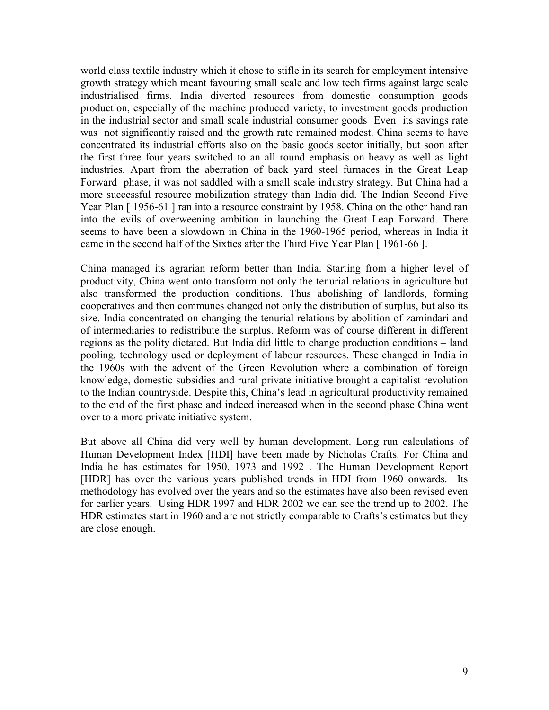world class textile industry which it chose to stifle in its search for employment intensive growth strategy which meant favouring small scale and low tech firms against large scale industrialised firms. India diverted resources from domestic consumption goods production, especially of the machine produced variety, to investment goods production in the industrial sector and small scale industrial consumer goods Even its savings rate was not significantly raised and the growth rate remained modest. China seems to have concentrated its industrial efforts also on the basic goods sector initially, but soon after the first three four years switched to an all round emphasis on heavy as well as light industries. Apart from the aberration of back yard steel furnaces in the Great Leap Forward phase, it was not saddled with a small scale industry strategy. But China had a more successful resource mobilization strategy than India did. The Indian Second Five Year Plan [ 1956-61 ] ran into a resource constraint by 1958. China on the other hand ran into the evils of overweening ambition in launching the Great Leap Forward. There seems to have been a slowdown in China in the 1960-1965 period, whereas in India it came in the second half of the Sixties after the Third Five Year Plan [ 1961-66 ].

China managed its agrarian reform better than India. Starting from a higher level of productivity, China went onto transform not only the tenurial relations in agriculture but also transformed the production conditions. Thus abolishing of landlords, forming cooperatives and then communes changed not only the distribution of surplus, but also its size. India concentrated on changing the tenurial relations by abolition of zamindari and of intermediaries to redistribute the surplus. Reform was of course different in different regions as the polity dictated. But India did little to change production conditions – land pooling, technology used or deployment of labour resources. These changed in India in the 1960s with the advent of the Green Revolution where a combination of foreign knowledge, domestic subsidies and rural private initiative brought a capitalist revolution to the Indian countryside. Despite this, China's lead in agricultural productivity remained to the end of the first phase and indeed increased when in the second phase China went over to a more private initiative system.

But above all China did very well by human development. Long run calculations of Human Development Index [HDI] have been made by Nicholas Crafts. For China and India he has estimates for 1950, 1973 and 1992 . The Human Development Report [HDR] has over the various years published trends in HDI from 1960 onwards. Its methodology has evolved over the years and so the estimates have also been revised even for earlier years. Using HDR 1997 and HDR 2002 we can see the trend up to 2002. The HDR estimates start in 1960 and are not strictly comparable to Crafts's estimates but they are close enough.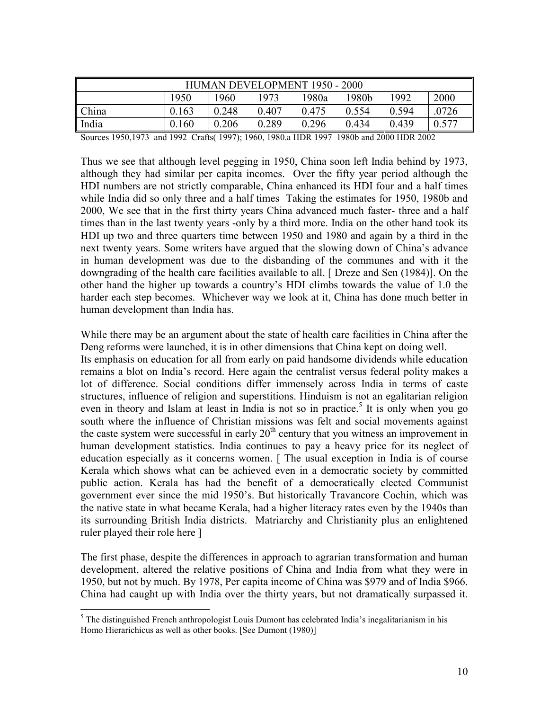| HUMAN DEVELOPMENT 1950 - 2000 |       |       |       |       |       |       |       |  |  |
|-------------------------------|-------|-------|-------|-------|-------|-------|-------|--|--|
|                               | 1950  | 1960  | 1973  | 1980a | 1980b | 1992  | 2000  |  |  |
| China                         | 0.163 | 0.248 | 0.407 | 0.475 | 0.554 | 0.594 | .0726 |  |  |
| India                         | 0.160 | 0.206 | 0.289 | 0.296 | 0.434 | 0.439 | 0.577 |  |  |

Sources 1950,1973 and 1992 Crafts( 1997); 1960, 1980.a HDR 1997 1980b and 2000 HDR 2002

Thus we see that although level pegging in 1950, China soon left India behind by 1973, although they had similar per capita incomes. Over the fifty year period although the HDI numbers are not strictly comparable, China enhanced its HDI four and a half times while India did so only three and a half times Taking the estimates for 1950, 1980b and 2000, We see that in the first thirty years China advanced much faster- three and a half times than in the last twenty years -only by a third more. India on the other hand took its HDI up two and three quarters time between 1950 and 1980 and again by a third in the next twenty years. Some writers have argued that the slowing down of China's advance in human development was due to the disbanding of the communes and with it the downgrading of the health care facilities available to all. [ Dreze and Sen (1984)]. On the other hand the higher up towards a country's HDI climbs towards the value of 1.0 the harder each step becomes. Whichever way we look at it, China has done much better in human development than India has.

While there may be an argument about the state of health care facilities in China after the Deng reforms were launched, it is in other dimensions that China kept on doing well. Its emphasis on education for all from early on paid handsome dividends while education remains a blot on India's record. Here again the centralist versus federal polity makes a lot of difference. Social conditions differ immensely across India in terms of caste structures, influence of religion and superstitions. Hinduism is not an egalitarian religion even in theory and Islam at least in India is not so in practice.<sup>5</sup> It is only when you go south where the influence of Christian missions was felt and social movements against the caste system were successful in early  $20<sup>th</sup>$  century that you witness an improvement in human development statistics. India continues to pay a heavy price for its neglect of education especially as it concerns women. [ The usual exception in India is of course Kerala which shows what can be achieved even in a democratic society by committed public action. Kerala has had the benefit of a democratically elected Communist government ever since the mid 1950's. But historically Travancore Cochin, which was the native state in what became Kerala, had a higher literacy rates even by the 1940s than its surrounding British India districts. Matriarchy and Christianity plus an enlightened ruler played their role here ]

The first phase, despite the differences in approach to agrarian transformation and human development, altered the relative positions of China and India from what they were in 1950, but not by much. By 1978, Per capita income of China was \$979 and of India \$966. China had caught up with India over the thirty years, but not dramatically surpassed it.

 $\overline{a}$ 

<sup>&</sup>lt;sup>5</sup> The distinguished French anthropologist Louis Dumont has celebrated India's inegalitarianism in his Homo Hierarichicus as well as other books. [See Dumont (1980)]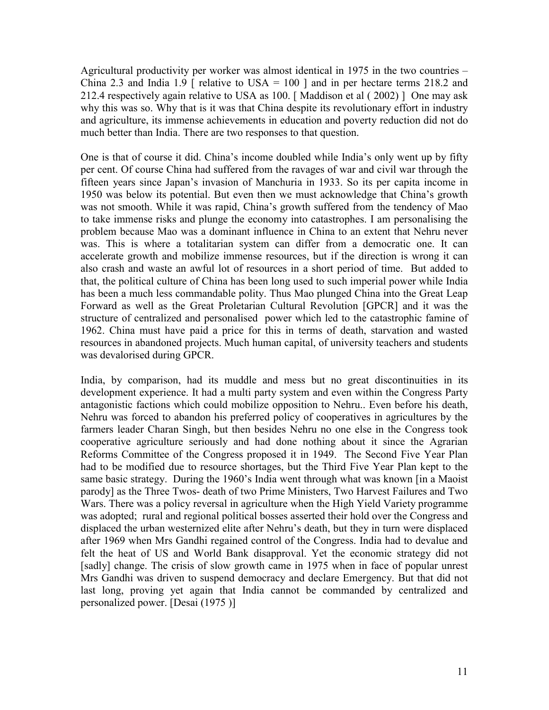Agricultural productivity per worker was almost identical in 1975 in the two countries – China 2.3 and India 1.9  $\lceil$  relative to USA = 100  $\rceil$  and in per hectare terms 218.2 and 212.4 respectively again relative to USA as 100. [ Maddison et al ( 2002) ] One may ask why this was so. Why that is it was that China despite its revolutionary effort in industry and agriculture, its immense achievements in education and poverty reduction did not do much better than India. There are two responses to that question.

One is that of course it did. China's income doubled while India's only went up by fifty per cent. Of course China had suffered from the ravages of war and civil war through the fifteen years since Japan's invasion of Manchuria in 1933. So its per capita income in 1950 was below its potential. But even then we must acknowledge that China's growth was not smooth. While it was rapid, China's growth suffered from the tendency of Mao to take immense risks and plunge the economy into catastrophes. I am personalising the problem because Mao was a dominant influence in China to an extent that Nehru never was. This is where a totalitarian system can differ from a democratic one. It can accelerate growth and mobilize immense resources, but if the direction is wrong it can also crash and waste an awful lot of resources in a short period of time. But added to that, the political culture of China has been long used to such imperial power while India has been a much less commandable polity. Thus Mao plunged China into the Great Leap Forward as well as the Great Proletarian Cultural Revolution [GPCR] and it was the structure of centralized and personalised power which led to the catastrophic famine of 1962. China must have paid a price for this in terms of death, starvation and wasted resources in abandoned projects. Much human capital, of university teachers and students was devalorised during GPCR.

India, by comparison, had its muddle and mess but no great discontinuities in its development experience. It had a multi party system and even within the Congress Party antagonistic factions which could mobilize opposition to Nehru.. Even before his death, Nehru was forced to abandon his preferred policy of cooperatives in agricultures by the farmers leader Charan Singh, but then besides Nehru no one else in the Congress took cooperative agriculture seriously and had done nothing about it since the Agrarian Reforms Committee of the Congress proposed it in 1949. The Second Five Year Plan had to be modified due to resource shortages, but the Third Five Year Plan kept to the same basic strategy. During the 1960's India went through what was known [in a Maoist parody] as the Three Twos- death of two Prime Ministers, Two Harvest Failures and Two Wars. There was a policy reversal in agriculture when the High Yield Variety programme was adopted; rural and regional political bosses asserted their hold over the Congress and displaced the urban westernized elite after Nehru's death, but they in turn were displaced after 1969 when Mrs Gandhi regained control of the Congress. India had to devalue and felt the heat of US and World Bank disapproval. Yet the economic strategy did not [sadly] change. The crisis of slow growth came in 1975 when in face of popular unrest Mrs Gandhi was driven to suspend democracy and declare Emergency. But that did not last long, proving yet again that India cannot be commanded by centralized and personalized power. [Desai (1975 )]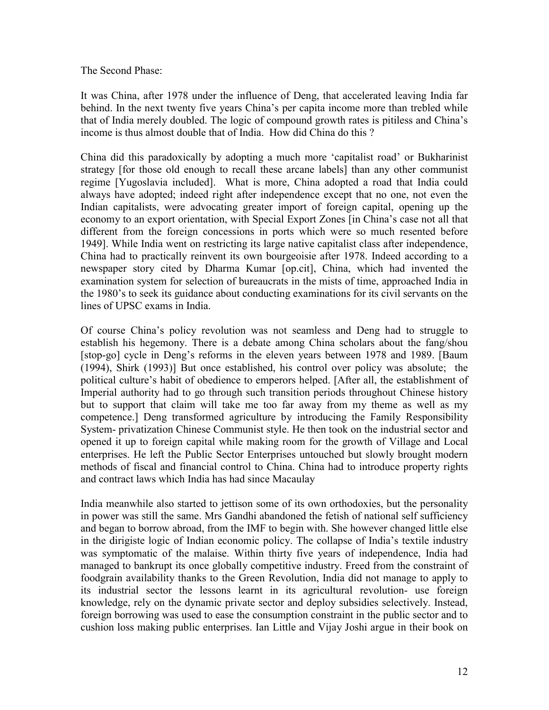The Second Phase:

It was China, after 1978 under the influence of Deng, that accelerated leaving India far behind. In the next twenty five years China's per capita income more than trebled while that of India merely doubled. The logic of compound growth rates is pitiless and China's income is thus almost double that of India. How did China do this ?

China did this paradoxically by adopting a much more 'capitalist road' or Bukharinist strategy [for those old enough to recall these arcane labels] than any other communist regime [Yugoslavia included]. What is more, China adopted a road that India could always have adopted; indeed right after independence except that no one, not even the Indian capitalists, were advocating greater import of foreign capital, opening up the economy to an export orientation, with Special Export Zones [in China's case not all that different from the foreign concessions in ports which were so much resented before 1949]. While India went on restricting its large native capitalist class after independence, China had to practically reinvent its own bourgeoisie after 1978. Indeed according to a newspaper story cited by Dharma Kumar [op.cit], China, which had invented the examination system for selection of bureaucrats in the mists of time, approached India in the 1980's to seek its guidance about conducting examinations for its civil servants on the lines of UPSC exams in India.

Of course China's policy revolution was not seamless and Deng had to struggle to establish his hegemony. There is a debate among China scholars about the fang/shou [stop-go] cycle in Deng's reforms in the eleven years between 1978 and 1989. [Baum (1994), Shirk (1993)] But once established, his control over policy was absolute; the political culture's habit of obedience to emperors helped. [After all, the establishment of Imperial authority had to go through such transition periods throughout Chinese history but to support that claim will take me too far away from my theme as well as my competence.] Deng transformed agriculture by introducing the Family Responsibility System- privatization Chinese Communist style. He then took on the industrial sector and opened it up to foreign capital while making room for the growth of Village and Local enterprises. He left the Public Sector Enterprises untouched but slowly brought modern methods of fiscal and financial control to China. China had to introduce property rights and contract laws which India has had since Macaulay

India meanwhile also started to jettison some of its own orthodoxies, but the personality in power was still the same. Mrs Gandhi abandoned the fetish of national self sufficiency and began to borrow abroad, from the IMF to begin with. She however changed little else in the dirigiste logic of Indian economic policy. The collapse of India's textile industry was symptomatic of the malaise. Within thirty five years of independence, India had managed to bankrupt its once globally competitive industry. Freed from the constraint of foodgrain availability thanks to the Green Revolution, India did not manage to apply to its industrial sector the lessons learnt in its agricultural revolution- use foreign knowledge, rely on the dynamic private sector and deploy subsidies selectively. Instead, foreign borrowing was used to ease the consumption constraint in the public sector and to cushion loss making public enterprises. Ian Little and Vijay Joshi argue in their book on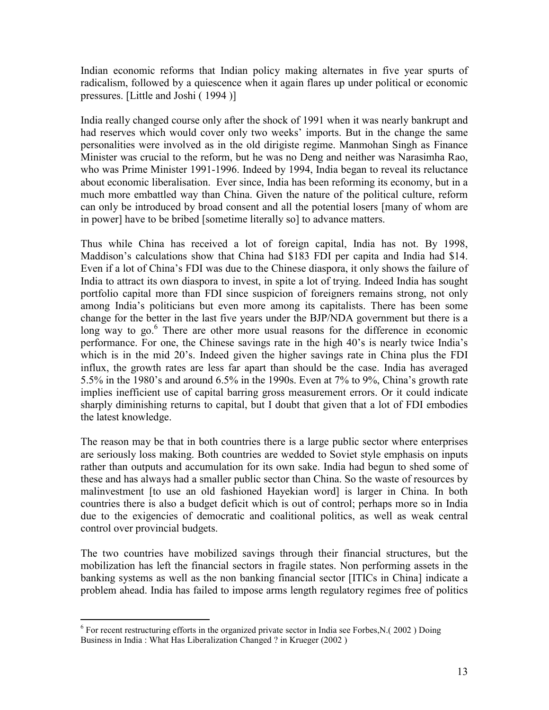Indian economic reforms that Indian policy making alternates in five year spurts of radicalism, followed by a quiescence when it again flares up under political or economic pressures. [Little and Joshi ( 1994 )]

India really changed course only after the shock of 1991 when it was nearly bankrupt and had reserves which would cover only two weeks' imports. But in the change the same personalities were involved as in the old dirigiste regime. Manmohan Singh as Finance Minister was crucial to the reform, but he was no Deng and neither was Narasimha Rao, who was Prime Minister 1991-1996. Indeed by 1994, India began to reveal its reluctance about economic liberalisation. Ever since, India has been reforming its economy, but in a much more embattled way than China. Given the nature of the political culture, reform can only be introduced by broad consent and all the potential losers [many of whom are in power] have to be bribed [sometime literally so] to advance matters.

Thus while China has received a lot of foreign capital, India has not. By 1998, Maddison's calculations show that China had \$183 FDI per capita and India had \$14. Even if a lot of China's FDI was due to the Chinese diaspora, it only shows the failure of India to attract its own diaspora to invest, in spite a lot of trying. Indeed India has sought portfolio capital more than FDI since suspicion of foreigners remains strong, not only among India's politicians but even more among its capitalists. There has been some change for the better in the last five years under the BJP/NDA government but there is a long way to go.<sup>6</sup> There are other more usual reasons for the difference in economic performance. For one, the Chinese savings rate in the high 40's is nearly twice India's which is in the mid 20's. Indeed given the higher savings rate in China plus the FDI influx, the growth rates are less far apart than should be the case. India has averaged 5.5% in the 1980's and around 6.5% in the 1990s. Even at 7% to 9%, China's growth rate implies inefficient use of capital barring gross measurement errors. Or it could indicate sharply diminishing returns to capital, but I doubt that given that a lot of FDI embodies the latest knowledge.

The reason may be that in both countries there is a large public sector where enterprises are seriously loss making. Both countries are wedded to Soviet style emphasis on inputs rather than outputs and accumulation for its own sake. India had begun to shed some of these and has always had a smaller public sector than China. So the waste of resources by malinvestment [to use an old fashioned Hayekian word] is larger in China. In both countries there is also a budget deficit which is out of control; perhaps more so in India due to the exigencies of democratic and coalitional politics, as well as weak central control over provincial budgets.

The two countries have mobilized savings through their financial structures, but the mobilization has left the financial sectors in fragile states. Non performing assets in the banking systems as well as the non banking financial sector [ITICs in China] indicate a problem ahead. India has failed to impose arms length regulatory regimes free of politics

<sup>1</sup>  $6$  For recent restructuring efforts in the organized private sector in India see Forbes, N. (2002) Doing Business in India : What Has Liberalization Changed ? in Krueger (2002 )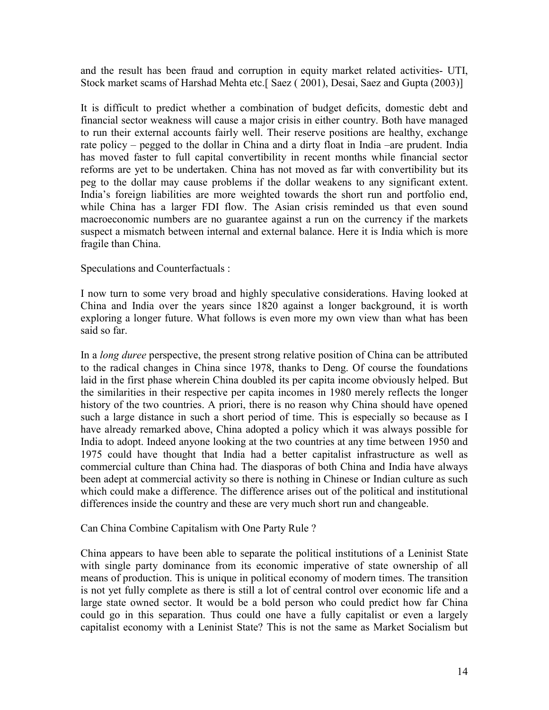and the result has been fraud and corruption in equity market related activities- UTI, Stock market scams of Harshad Mehta etc.[ Saez ( 2001), Desai, Saez and Gupta (2003)]

It is difficult to predict whether a combination of budget deficits, domestic debt and financial sector weakness will cause a major crisis in either country. Both have managed to run their external accounts fairly well. Their reserve positions are healthy, exchange rate policy – pegged to the dollar in China and a dirty float in India –are prudent. India has moved faster to full capital convertibility in recent months while financial sector reforms are yet to be undertaken. China has not moved as far with convertibility but its peg to the dollar may cause problems if the dollar weakens to any significant extent. India's foreign liabilities are more weighted towards the short run and portfolio end, while China has a larger FDI flow. The Asian crisis reminded us that even sound macroeconomic numbers are no guarantee against a run on the currency if the markets suspect a mismatch between internal and external balance. Here it is India which is more fragile than China.

Speculations and Counterfactuals :

I now turn to some very broad and highly speculative considerations. Having looked at China and India over the years since 1820 against a longer background, it is worth exploring a longer future. What follows is even more my own view than what has been said so far.

In a *long duree* perspective, the present strong relative position of China can be attributed to the radical changes in China since 1978, thanks to Deng. Of course the foundations laid in the first phase wherein China doubled its per capita income obviously helped. But the similarities in their respective per capita incomes in 1980 merely reflects the longer history of the two countries. A priori, there is no reason why China should have opened such a large distance in such a short period of time. This is especially so because as I have already remarked above, China adopted a policy which it was always possible for India to adopt. Indeed anyone looking at the two countries at any time between 1950 and 1975 could have thought that India had a better capitalist infrastructure as well as commercial culture than China had. The diasporas of both China and India have always been adept at commercial activity so there is nothing in Chinese or Indian culture as such which could make a difference. The difference arises out of the political and institutional differences inside the country and these are very much short run and changeable.

### Can China Combine Capitalism with One Party Rule ?

China appears to have been able to separate the political institutions of a Leninist State with single party dominance from its economic imperative of state ownership of all means of production. This is unique in political economy of modern times. The transition is not yet fully complete as there is still a lot of central control over economic life and a large state owned sector. It would be a bold person who could predict how far China could go in this separation. Thus could one have a fully capitalist or even a largely capitalist economy with a Leninist State? This is not the same as Market Socialism but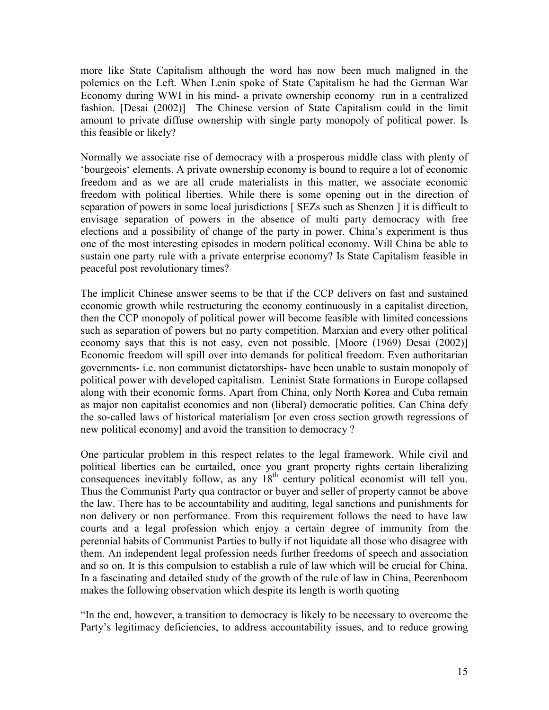more like State Capitalism although the word has now been much maligned in the polemics on the Left. When Lenin spoke of State Capitalism he had the German War Economy during WWI in his mind- a private ownership economy run in a centralized fashion. [Desai (2002)] The Chinese version of State Capitalism could in the limit amount to private diffuse ownership with single party monopoly of political power. Is this feasible or likely?

Normally we associate rise of democracy with a prosperous middle class with plenty of 'bourgeois' elements. A private ownership economy is bound to require a lot of economic freedom and as we are all crude materialists in this matter, we associate economic freedom with political liberties. While there is some opening out in the direction of separation of powers in some local jurisdictions [ SEZs such as Shenzen ] it is difficult to envisage separation of powers in the absence of multi party democracy with free elections and a possibility of change of the party in power. China's experiment is thus one of the most interesting episodes in modern political economy. Will China be able to sustain one party rule with a private enterprise economy? Is State Capitalism feasible in peaceful post revolutionary times?

The implicit Chinese answer seems to be that if the CCP delivers on fast and sustained economic growth while restructuring the economy continuously in a capitalist direction, then the CCP monopoly of political power will become feasible with limited concessions such as separation of powers but no party competition. Marxian and every other political economy says that this is not easy, even not possible. [Moore (1969) Desai (2002)] Economic freedom will spill over into demands for political freedom. Even authoritarian governments- i.e. non communist dictatorships- have been unable to sustain monopoly of political power with developed capitalism. Leninist State formations in Europe collapsed along with their economic forms. Apart from China, only North Korea and Cuba remain as major non capitalist economies and non (liberal) democratic polities. Can China defy the so-called laws of historical materialism [or even cross section growth regressions of new political economy] and avoid the transition to democracy ?

One particular problem in this respect relates to the legal framework. While civil and political liberties can be curtailed, once you grant property rights certain liberalizing consequences inevitably follow, as any  $18<sup>th</sup>$  century political economist will tell you. Thus the Communist Party qua contractor or buyer and seller of property cannot be above the law. There has to be accountability and auditing, legal sanctions and punishments for non delivery or non performance. From this requirement follows the need to have law courts and a legal profession which enjoy a certain degree of immunity from the perennial habits of Communist Parties to bully if not liquidate all those who disagree with them. An independent legal profession needs further freedoms of speech and association and so on. It is this compulsion to establish a rule of law which will be crucial for China. In a fascinating and detailed study of the growth of the rule of law in China, Peerenboom makes the following observation which despite its length is worth quoting

"In the end, however, a transition to democracy is likely to be necessary to overcome the Party's legitimacy deficiencies, to address accountability issues, and to reduce growing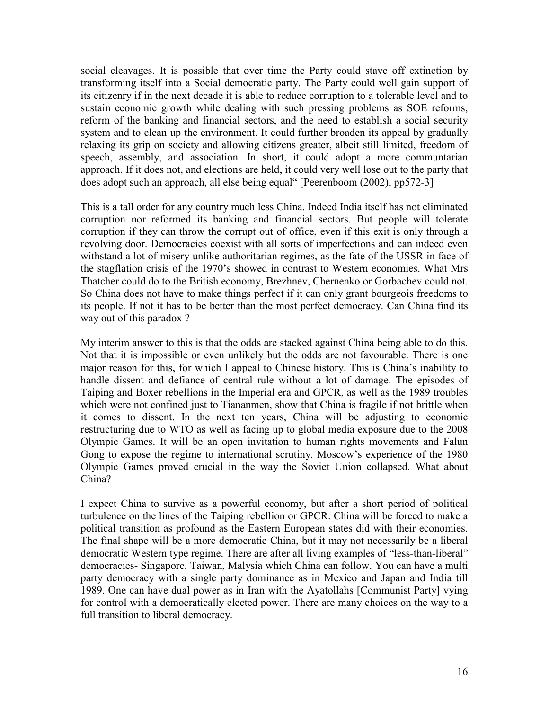social cleavages. It is possible that over time the Party could stave off extinction by transforming itself into a Social democratic party. The Party could well gain support of its citizenry if in the next decade it is able to reduce corruption to a tolerable level and to sustain economic growth while dealing with such pressing problems as SOE reforms, reform of the banking and financial sectors, and the need to establish a social security system and to clean up the environment. It could further broaden its appeal by gradually relaxing its grip on society and allowing citizens greater, albeit still limited, freedom of speech, assembly, and association. In short, it could adopt a more communtarian approach. If it does not, and elections are held, it could very well lose out to the party that does adopt such an approach, all else being equal" [Peerenboom (2002), pp572-3]

This is a tall order for any country much less China. Indeed India itself has not eliminated corruption nor reformed its banking and financial sectors. But people will tolerate corruption if they can throw the corrupt out of office, even if this exit is only through a revolving door. Democracies coexist with all sorts of imperfections and can indeed even withstand a lot of misery unlike authoritarian regimes, as the fate of the USSR in face of the stagflation crisis of the 1970's showed in contrast to Western economies. What Mrs Thatcher could do to the British economy, Brezhnev, Chernenko or Gorbachev could not. So China does not have to make things perfect if it can only grant bourgeois freedoms to its people. If not it has to be better than the most perfect democracy. Can China find its way out of this paradox ?

My interim answer to this is that the odds are stacked against China being able to do this. Not that it is impossible or even unlikely but the odds are not favourable. There is one major reason for this, for which I appeal to Chinese history. This is China's inability to handle dissent and defiance of central rule without a lot of damage. The episodes of Taiping and Boxer rebellions in the Imperial era and GPCR, as well as the 1989 troubles which were not confined just to Tiananmen, show that China is fragile if not brittle when it comes to dissent. In the next ten years, China will be adjusting to economic restructuring due to WTO as well as facing up to global media exposure due to the 2008 Olympic Games. It will be an open invitation to human rights movements and Falun Gong to expose the regime to international scrutiny. Moscow's experience of the 1980 Olympic Games proved crucial in the way the Soviet Union collapsed. What about China?

I expect China to survive as a powerful economy, but after a short period of political turbulence on the lines of the Taiping rebellion or GPCR. China will be forced to make a political transition as profound as the Eastern European states did with their economies. The final shape will be a more democratic China, but it may not necessarily be a liberal democratic Western type regime. There are after all living examples of "less-than-liberal" democracies- Singapore. Taiwan, Malysia which China can follow. You can have a multi party democracy with a single party dominance as in Mexico and Japan and India till 1989. One can have dual power as in Iran with the Ayatollahs [Communist Party] vying for control with a democratically elected power. There are many choices on the way to a full transition to liberal democracy.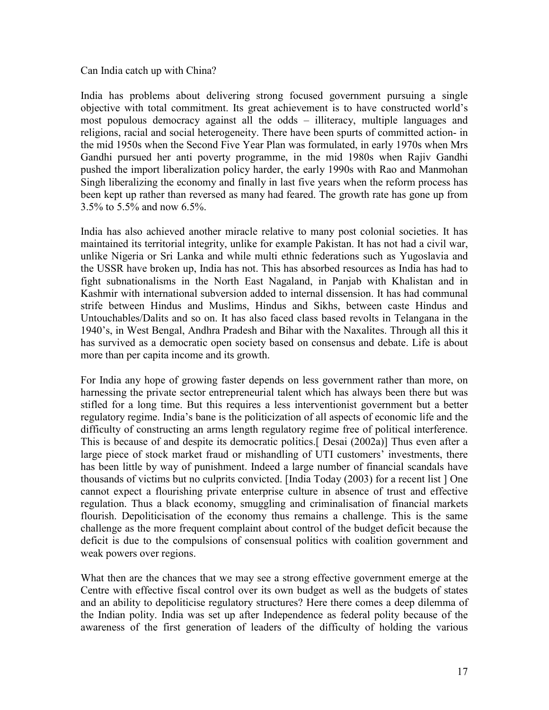#### Can India catch up with China?

India has problems about delivering strong focused government pursuing a single objective with total commitment. Its great achievement is to have constructed world's most populous democracy against all the odds – illiteracy, multiple languages and religions, racial and social heterogeneity. There have been spurts of committed action- in the mid 1950s when the Second Five Year Plan was formulated, in early 1970s when Mrs Gandhi pursued her anti poverty programme, in the mid 1980s when Rajiv Gandhi pushed the import liberalization policy harder, the early 1990s with Rao and Manmohan Singh liberalizing the economy and finally in last five years when the reform process has been kept up rather than reversed as many had feared. The growth rate has gone up from 3.5% to 5.5% and now 6.5%.

India has also achieved another miracle relative to many post colonial societies. It has maintained its territorial integrity, unlike for example Pakistan. It has not had a civil war, unlike Nigeria or Sri Lanka and while multi ethnic federations such as Yugoslavia and the USSR have broken up, India has not. This has absorbed resources as India has had to fight subnationalisms in the North East Nagaland, in Panjab with Khalistan and in Kashmir with international subversion added to internal dissension. It has had communal strife between Hindus and Muslims, Hindus and Sikhs, between caste Hindus and Untouchables/Dalits and so on. It has also faced class based revolts in Telangana in the 1940's, in West Bengal, Andhra Pradesh and Bihar with the Naxalites. Through all this it has survived as a democratic open society based on consensus and debate. Life is about more than per capita income and its growth.

For India any hope of growing faster depends on less government rather than more, on harnessing the private sector entrepreneurial talent which has always been there but was stifled for a long time. But this requires a less interventionist government but a better regulatory regime. India's bane is the politicization of all aspects of economic life and the difficulty of constructing an arms length regulatory regime free of political interference. This is because of and despite its democratic politics.[ Desai (2002a)] Thus even after a large piece of stock market fraud or mishandling of UTI customers' investments, there has been little by way of punishment. Indeed a large number of financial scandals have thousands of victims but no culprits convicted. [India Today (2003) for a recent list ] One cannot expect a flourishing private enterprise culture in absence of trust and effective regulation. Thus a black economy, smuggling and criminalisation of financial markets flourish. Depoliticisation of the economy thus remains a challenge. This is the same challenge as the more frequent complaint about control of the budget deficit because the deficit is due to the compulsions of consensual politics with coalition government and weak powers over regions.

What then are the chances that we may see a strong effective government emerge at the Centre with effective fiscal control over its own budget as well as the budgets of states and an ability to depoliticise regulatory structures? Here there comes a deep dilemma of the Indian polity. India was set up after Independence as federal polity because of the awareness of the first generation of leaders of the difficulty of holding the various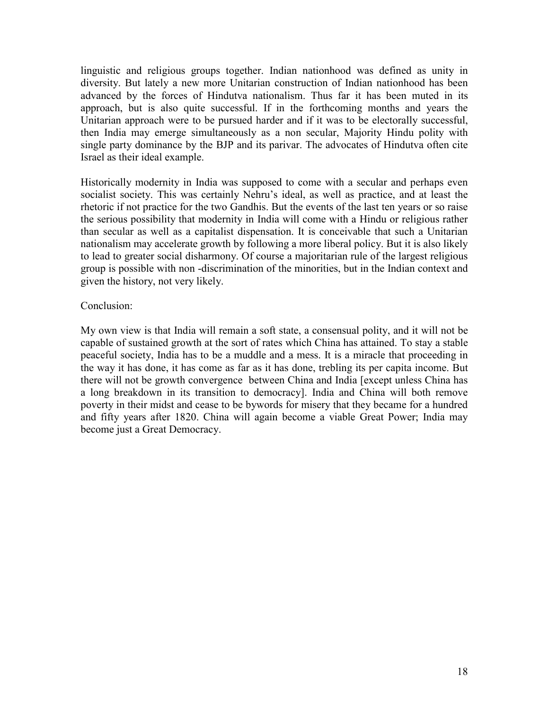linguistic and religious groups together. Indian nationhood was defined as unity in diversity. But lately a new more Unitarian construction of Indian nationhood has been advanced by the forces of Hindutva nationalism. Thus far it has been muted in its approach, but is also quite successful. If in the forthcoming months and years the Unitarian approach were to be pursued harder and if it was to be electorally successful, then India may emerge simultaneously as a non secular, Majority Hindu polity with single party dominance by the BJP and its parivar. The advocates of Hindutva often cite Israel as their ideal example.

Historically modernity in India was supposed to come with a secular and perhaps even socialist society. This was certainly Nehru's ideal, as well as practice, and at least the rhetoric if not practice for the two Gandhis. But the events of the last ten years or so raise the serious possibility that modernity in India will come with a Hindu or religious rather than secular as well as a capitalist dispensation. It is conceivable that such a Unitarian nationalism may accelerate growth by following a more liberal policy. But it is also likely to lead to greater social disharmony. Of course a majoritarian rule of the largest religious group is possible with non -discrimination of the minorities, but in the Indian context and given the history, not very likely.

# Conclusion:

My own view is that India will remain a soft state, a consensual polity, and it will not be capable of sustained growth at the sort of rates which China has attained. To stay a stable peaceful society, India has to be a muddle and a mess. It is a miracle that proceeding in the way it has done, it has come as far as it has done, trebling its per capita income. But there will not be growth convergence between China and India [except unless China has a long breakdown in its transition to democracy]. India and China will both remove poverty in their midst and cease to be bywords for misery that they became for a hundred and fifty years after 1820. China will again become a viable Great Power; India may become just a Great Democracy.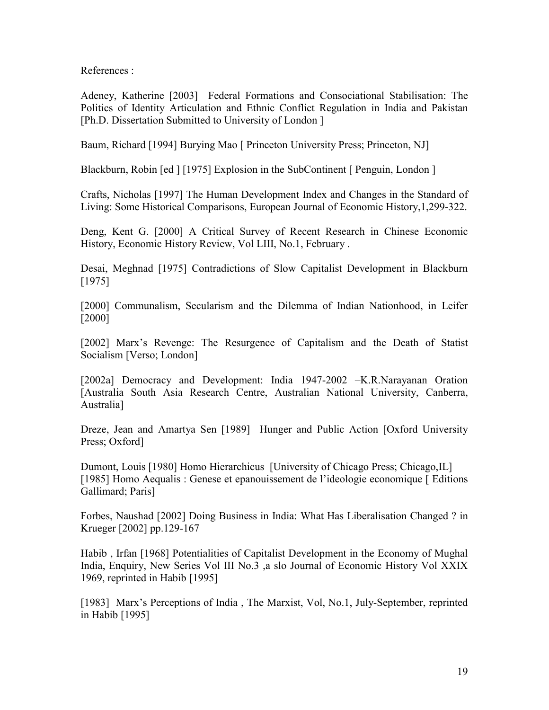References :

Adeney, Katherine [2003] Federal Formations and Consociational Stabilisation: The Politics of Identity Articulation and Ethnic Conflict Regulation in India and Pakistan [Ph.D. Dissertation Submitted to University of London ]

Baum, Richard [1994] Burying Mao [ Princeton University Press; Princeton, NJ]

Blackburn, Robin [ed ] [1975] Explosion in the SubContinent [ Penguin, London ]

Crafts, Nicholas [1997] The Human Development Index and Changes in the Standard of Living: Some Historical Comparisons, European Journal of Economic History,1,299-322.

Deng, Kent G. [2000] A Critical Survey of Recent Research in Chinese Economic History, Economic History Review, Vol LIII, No.1, February .

Desai, Meghnad [1975] Contradictions of Slow Capitalist Development in Blackburn [1975]

[2000] Communalism, Secularism and the Dilemma of Indian Nationhood, in Leifer [2000]

[2002] Marx's Revenge: The Resurgence of Capitalism and the Death of Statist Socialism [Verso; London]

[2002a] Democracy and Development: India 1947-2002 – K.R.Narayanan Oration [Australia South Asia Research Centre, Australian National University, Canberra, Australia]

Dreze, Jean and Amartya Sen [1989] Hunger and Public Action [Oxford University Press; Oxford]

Dumont, Louis [1980] Homo Hierarchicus [University of Chicago Press; Chicago, IL] [1985] Homo Aequalis : Genese et epanouissement de l'ideologie economique [ Editions Gallimard; Paris]

Forbes, Naushad [2002] Doing Business in India: What Has Liberalisation Changed ? in Krueger [2002] pp.129-167

Habib , Irfan [1968] Potentialities of Capitalist Development in the Economy of Mughal India, Enquiry, New Series Vol III No.3 ,a slo Journal of Economic History Vol XXIX 1969, reprinted in Habib [1995]

[1983] Marx's Perceptions of India, The Marxist, Vol, No.1, July-September, reprinted in Habib [1995]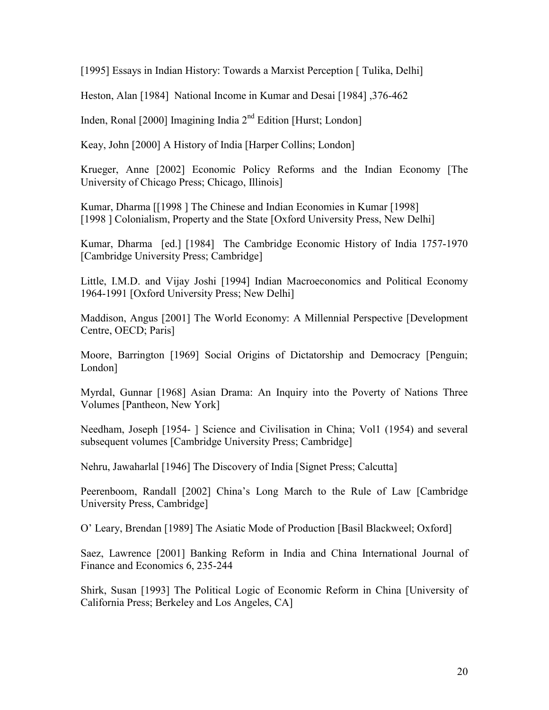[1995] Essays in Indian History: Towards a Marxist Perception [ Tulika, Delhi]

Heston, Alan [1984] National Income in Kumar and Desai [1984] ,376-462

Inden, Ronal [2000] Imagining India  $2^{nd}$  Edition [Hurst; London]

Keay, John [2000] A History of India [Harper Collins; London]

Krueger, Anne [2002] Economic Policy Reforms and the Indian Economy [The University of Chicago Press; Chicago, Illinois]

Kumar, Dharma [[1998 ] The Chinese and Indian Economies in Kumar [1998] [1998] Colonialism, Property and the State [Oxford University Press, New Delhi]

Kumar, Dharma [ed.] [1984] The Cambridge Economic History of India 1757-1970 [Cambridge University Press; Cambridge]

Little, I.M.D. and Vijay Joshi [1994] Indian Macroeconomics and Political Economy 1964-1991 [Oxford University Press; New Delhi]

Maddison, Angus [2001] The World Economy: A Millennial Perspective [Development Centre, OECD; Paris]

Moore, Barrington [1969] Social Origins of Dictatorship and Democracy [Penguin; London]

Myrdal, Gunnar [1968] Asian Drama: An Inquiry into the Poverty of Nations Three Volumes [Pantheon, New York]

Needham, Joseph [1954- ] Science and Civilisation in China; Vol1 (1954) and several subsequent volumes [Cambridge University Press; Cambridge]

Nehru, Jawaharlal [1946] The Discovery of India [Signet Press; Calcutta]

Peerenboom, Randall [2002] China's Long March to the Rule of Law [Cambridge University Press, Cambridge]

O' Leary, Brendan [1989] The Asiatic Mode of Production [Basil Blackweel; Oxford]

Saez, Lawrence [2001] Banking Reform in India and China International Journal of Finance and Economics 6, 235-244

Shirk, Susan [1993] The Political Logic of Economic Reform in China [University of California Press; Berkeley and Los Angeles, CA]